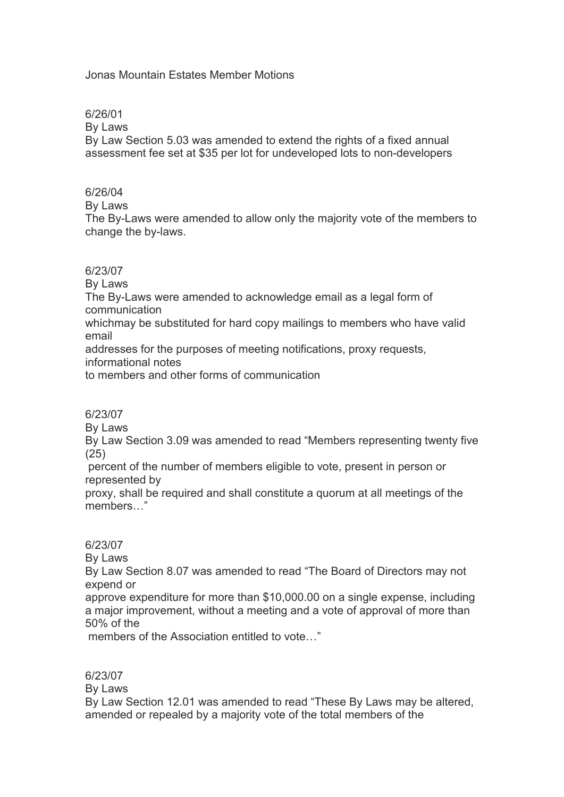# Jonas Mountain Estates Member Motions

#### 6/26/01

By Laws

By Law Section 5.03 was amended to extend the rights of a fixed annual assessment fee set at \$35 per lot for undeveloped lots to non-developers

#### 6/26/04

By Laws

The By-Laws were amended to allow only the majority vote of the members to change the by-laws.

#### 6/23/07

By Laws The By-Laws were amended to acknowledge email as a legal form of communication whichmay be substituted for hard copy mailings to members who have valid email

addresses for the purposes of meeting notifications, proxy requests,

informational notes

to members and other forms of communication

# 6/23/07

By Laws

By Law Section 3.09 was amended to read "Members representing twenty five (25)

percent of the number of members eligible to vote, present in person or represented by

proxy, shall be required and shall constitute a quorum at all meetings of the members…"

# 6/23/07

By Laws

By Law Section 8.07 was amended to read "The Board of Directors may not expend or

approve expenditure for more than \$10,000.00 on a single expense, including a major improvement, without a meeting and a vote of approval of more than 50% of the

members of the Association entitled to vote…"

#### 6/23/07

By Laws

By Law Section 12.01 was amended to read "These By Laws may be altered, amended or repealed by a majority vote of the total members of the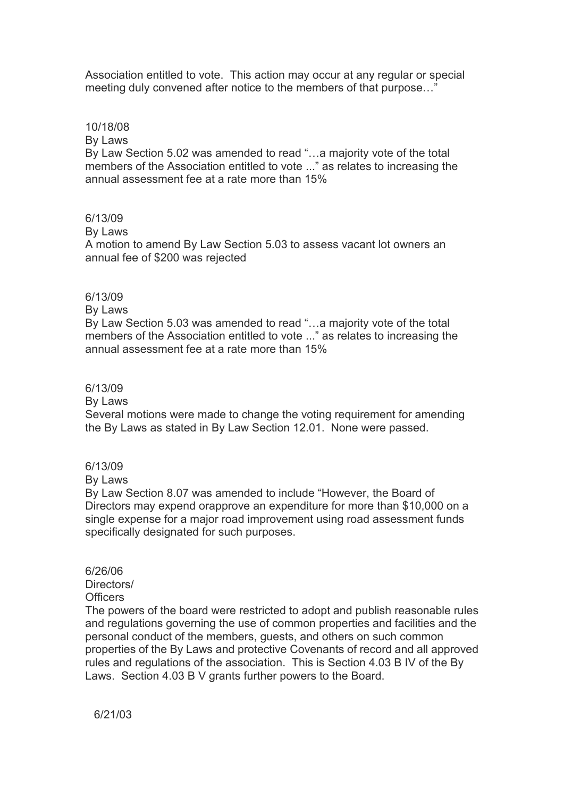Association entitled to vote. This action may occur at any regular or special meeting duly convened after notice to the members of that purpose…"

#### 10/18/08

By Laws

By Law Section 5.02 was amended to read "…a majority vote of the total members of the Association entitled to vote ..." as relates to increasing the annual assessment fee at a rate more than 15%

#### 6/13/09

By Laws

A motion to amend By Law Section 5.03 to assess vacant lot owners an annual fee of \$200 was rejected

### 6/13/09

By Laws

By Law Section 5.03 was amended to read "…a majority vote of the total members of the Association entitled to vote ..." as relates to increasing the annual assessment fee at a rate more than 15%

#### 6/13/09

By Laws

Several motions were made to change the voting requirement for amending the By Laws as stated in By Law Section 12.01. None were passed.

#### 6/13/09

By Laws

By Law Section 8.07 was amended to include "However, the Board of Directors may expend orapprove an expenditure for more than \$10,000 on a single expense for a major road improvement using road assessment funds specifically designated for such purposes.

# 6/26/06

Directors/

**Officers** 

The powers of the board were restricted to adopt and publish reasonable rules and regulations governing the use of common properties and facilities and the personal conduct of the members, guests, and others on such common properties of the By Laws and protective Covenants of record and all approved rules and regulations of the association. This is Section 4.03 B IV of the By Laws. Section 4.03 B V grants further powers to the Board.

6/21/03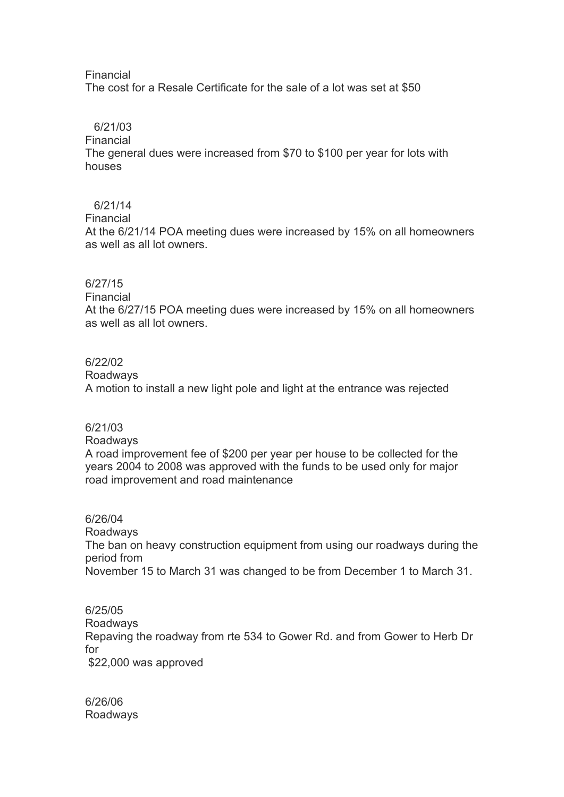#### Financial

The cost for a Resale Certificate for the sale of a lot was set at \$50

#### 6/21/03

Financial

The general dues were increased from \$70 to \$100 per year for lots with houses

# 6/21/14

Financial

At the 6/21/14 POA meeting dues were increased by 15% on all homeowners as well as all lot owners.

# 6/27/15

#### Financial

At the 6/27/15 POA meeting dues were increased by 15% on all homeowners as well as all lot owners.

#### 6/22/02

Roadways

A motion to install a new light pole and light at the entrance was rejected

# 6/21/03

#### Roadways

A road improvement fee of \$200 per year per house to be collected for the years 2004 to 2008 was approved with the funds to be used only for major road improvement and road maintenance

#### 6/26/04

Roadways The ban on heavy construction equipment from using our roadways during the period from November 15 to March 31 was changed to be from December 1 to March 31.

# 6/25/05

Roadways Repaving the roadway from rte 534 to Gower Rd. and from Gower to Herb Dr for \$22,000 was approved

6/26/06 Roadways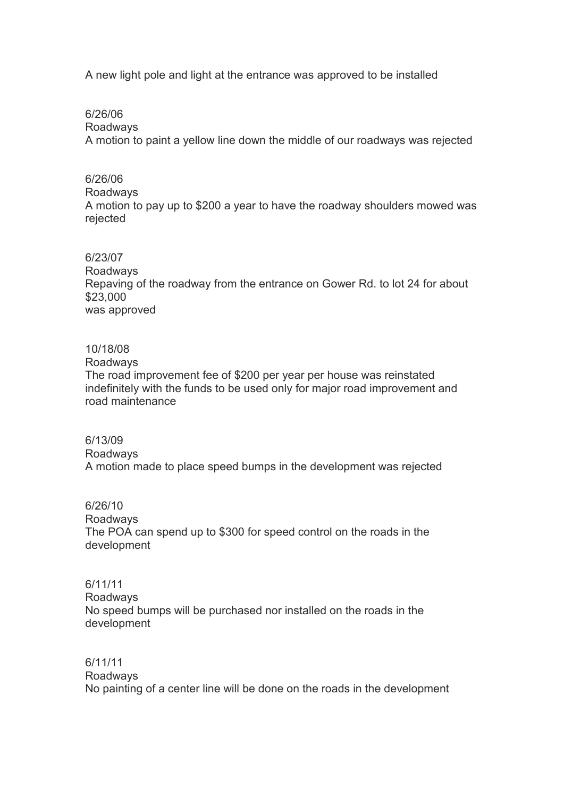A new light pole and light at the entrance was approved to be installed

6/26/06

Roadways

A motion to paint a yellow line down the middle of our roadways was rejected

# 6/26/06

Roadways

A motion to pay up to \$200 a year to have the roadway shoulders mowed was rejected

#### 6/23/07

Roadways Repaving of the roadway from the entrance on Gower Rd. to lot 24 for about \$23,000 was approved

# 10/18/08

Roadways

The road improvement fee of \$200 per year per house was reinstated indefinitely with the funds to be used only for major road improvement and road maintenance

#### 6/13/09 Roadways

A motion made to place speed bumps in the development was rejected

# 6/26/10 Roadways The POA can spend up to \$300 for speed control on the roads in the development

# 6/11/11 Roadways No speed bumps will be purchased nor installed on the roads in the development

# 6/11/11 Roadways No painting of a center line will be done on the roads in the development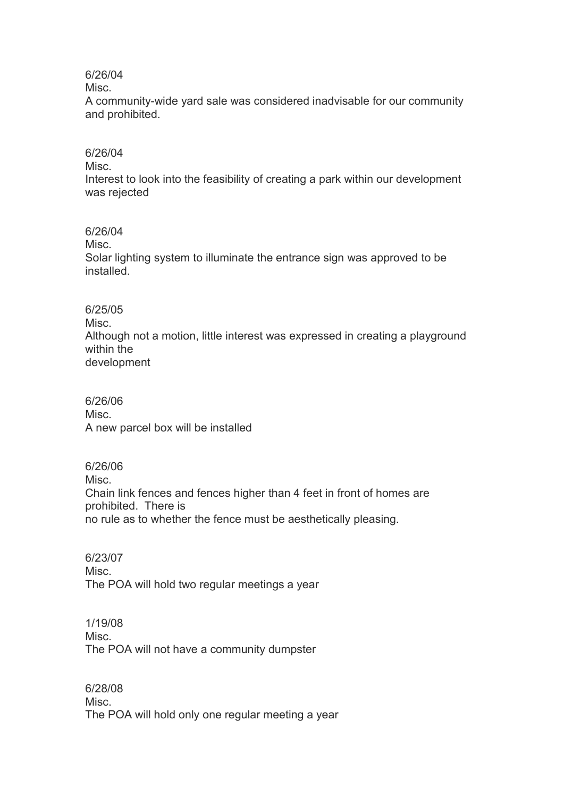# 6/26/04

Misc.

A community-wide yard sale was considered inadvisable for our community and prohibited.

# 6/26/04

Misc.

Interest to look into the feasibility of creating a park within our development was rejected

# 6/26/04

Misc.

Solar lighting system to illuminate the entrance sign was approved to be installed.

# 6/25/05

Misc. Although not a motion, little interest was expressed in creating a playground within the development

6/26/06 Misc. A new parcel box will be installed

6/26/06 Misc. Chain link fences and fences higher than 4 feet in front of homes are prohibited. There is no rule as to whether the fence must be aesthetically pleasing.

6/23/07 Misc. The POA will hold two regular meetings a year

1/19/08 Misc. The POA will not have a community dumpster

6/28/08 Misc. The POA will hold only one regular meeting a year